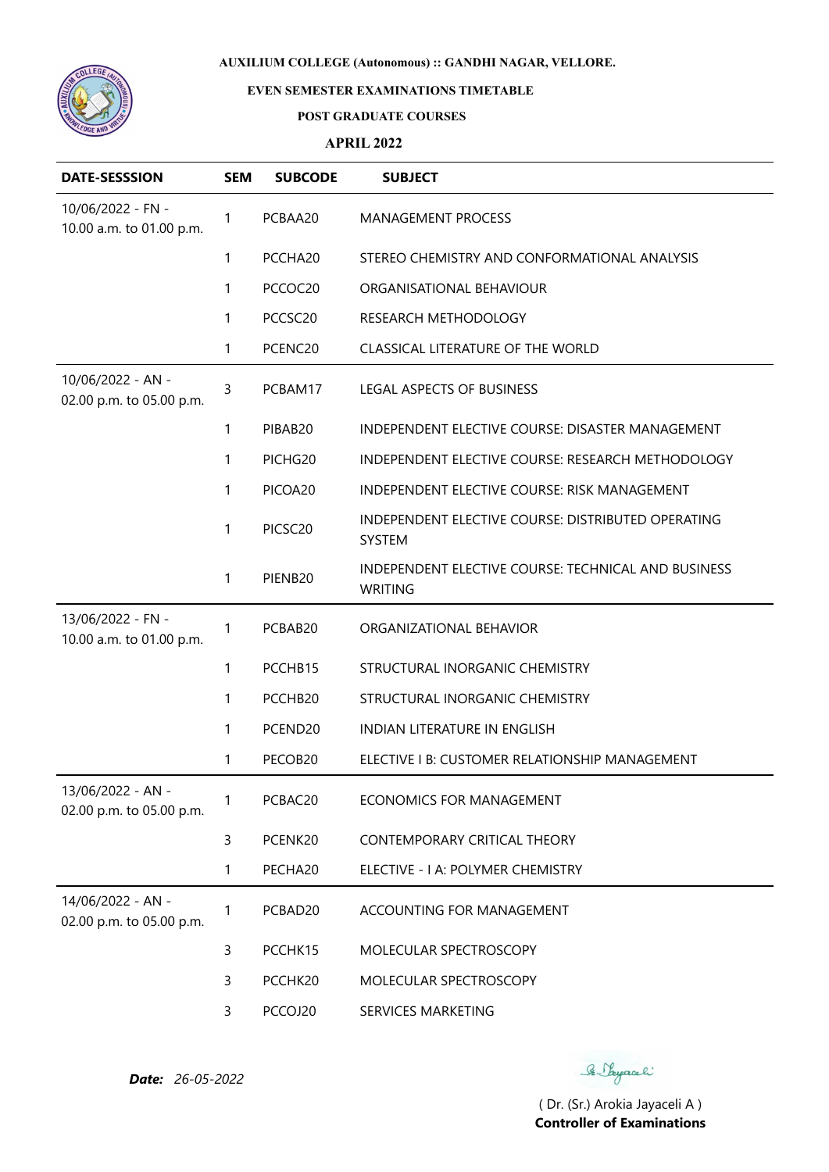

# **EVEN SEMESTER EXAMINATIONS TIMETABLE**

#### **POST GRADUATE COURSES**

### **APRIL 2022**

| <b>DATE-SESSSION</b>                          | <b>SEM</b> | <b>SUBCODE</b> | <b>SUBJECT</b>                                                        |
|-----------------------------------------------|------------|----------------|-----------------------------------------------------------------------|
| 10/06/2022 - FN -<br>10.00 a.m. to 01.00 p.m. | 1          | PCBAA20        | MANAGEMENT PROCESS                                                    |
|                                               | 1          | PCCHA20        | STEREO CHEMISTRY AND CONFORMATIONAL ANALYSIS                          |
|                                               | 1          | PCCOC20        | ORGANISATIONAL BEHAVIOUR                                              |
|                                               | 1          | PCCSC20        | RESEARCH METHODOLOGY                                                  |
|                                               | 1          | PCENC20        | CLASSICAL LITERATURE OF THE WORLD                                     |
| 10/06/2022 - AN -<br>02.00 p.m. to 05.00 p.m. | 3          | PCBAM17        | LEGAL ASPECTS OF BUSINESS                                             |
|                                               | 1          | PIBAB20        | INDEPENDENT ELECTIVE COURSE: DISASTER MANAGEMENT                      |
|                                               | 1          | PICHG20        | INDEPENDENT ELECTIVE COURSE: RESEARCH METHODOLOGY                     |
|                                               | 1          | PICOA20        | INDEPENDENT ELECTIVE COURSE: RISK MANAGEMENT                          |
|                                               | 1          | PICSC20        | INDEPENDENT ELECTIVE COURSE: DISTRIBUTED OPERATING<br>SYSTEM          |
|                                               | 1          | PIENB20        | INDEPENDENT ELECTIVE COURSE: TECHNICAL AND BUSINESS<br><b>WRITING</b> |
| 13/06/2022 - FN -<br>10.00 a.m. to 01.00 p.m. | 1          | PCBAB20        | ORGANIZATIONAL BEHAVIOR                                               |
|                                               | 1          | PCCHB15        | STRUCTURAL INORGANIC CHEMISTRY                                        |
|                                               | 1          | PCCHB20        | STRUCTURAL INORGANIC CHEMISTRY                                        |
|                                               | 1          | PCEND20        | INDIAN LITERATURE IN ENGLISH                                          |
|                                               | 1          | PECOB20        | ELECTIVE I B: CUSTOMER RELATIONSHIP MANAGEMENT                        |
| 13/06/2022 - AN -<br>02.00 p.m. to 05.00 p.m. | 1          | PCBAC20        | <b>ECONOMICS FOR MANAGEMENT</b>                                       |
|                                               | 3          | PCENK20        | CONTEMPORARY CRITICAL THEORY                                          |
|                                               | 1          | PECHA20        | ELECTIVE - I A: POLYMER CHEMISTRY                                     |
| 14/06/2022 - AN -<br>02.00 p.m. to 05.00 p.m. | 1          | PCBAD20        | ACCOUNTING FOR MANAGEMENT                                             |
|                                               | 3          | PCCHK15        | MOLECULAR SPECTROSCOPY                                                |
|                                               | 3          | PCCHK20        | MOLECULAR SPECTROSCOPY                                                |
|                                               | 3          | PCCOJ20        | SERVICES MARKETING                                                    |

*Date: 26-05-2022*

Se Sayaali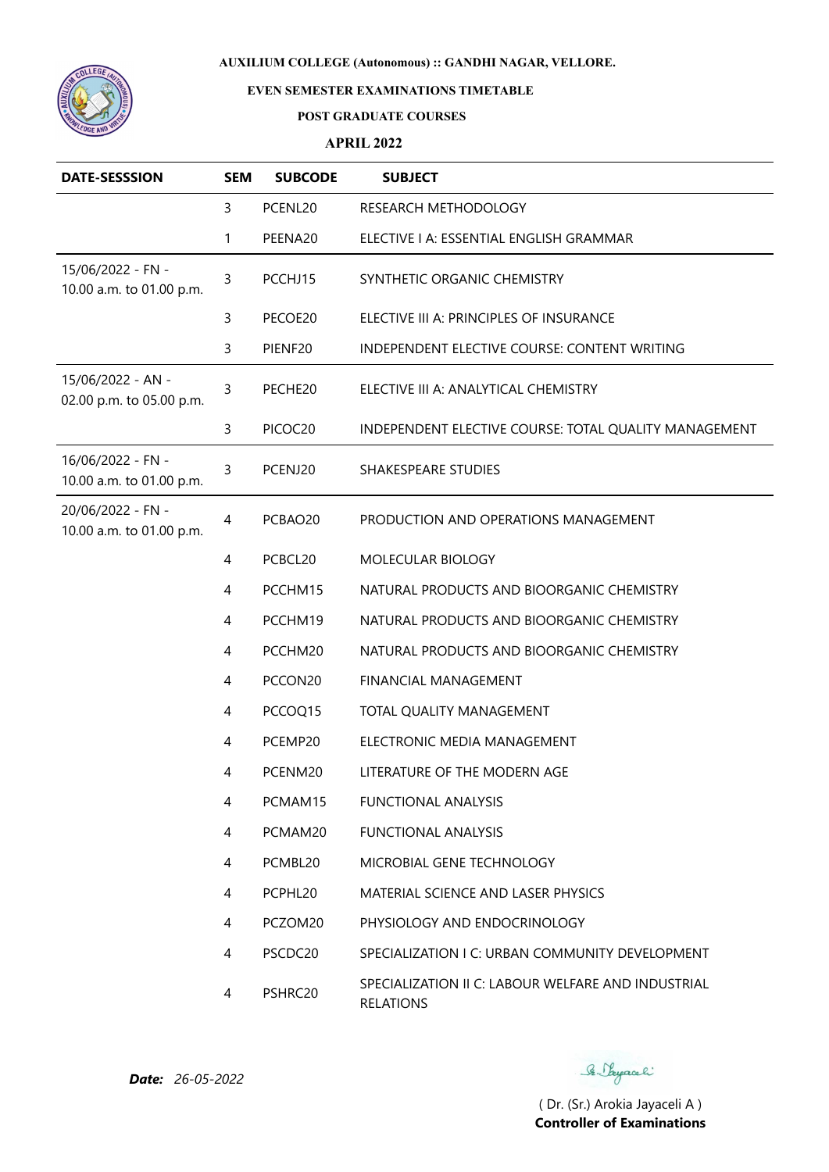

# **EVEN SEMESTER EXAMINATIONS TIMETABLE**

#### **POST GRADUATE COURSES**

### **APRIL 2022**

| <b>DATE-SESSSION</b>                          | <b>SEM</b> | <b>SUBCODE</b> | <b>SUBJECT</b>                                                         |
|-----------------------------------------------|------------|----------------|------------------------------------------------------------------------|
|                                               | 3          | PCENL20        | RESEARCH METHODOLOGY                                                   |
|                                               | 1          | PEENA20        | ELECTIVE I A: ESSENTIAL ENGLISH GRAMMAR                                |
| 15/06/2022 - FN -<br>10.00 a.m. to 01.00 p.m. | 3          | PCCHJ15        | SYNTHETIC ORGANIC CHEMISTRY                                            |
|                                               | 3          | PECOE20        | ELECTIVE III A: PRINCIPLES OF INSURANCE                                |
|                                               | 3          | PIENF20        | INDEPENDENT ELECTIVE COURSE: CONTENT WRITING                           |
| 15/06/2022 - AN -<br>02.00 p.m. to 05.00 p.m. | 3          | PECHE20        | ELECTIVE III A: ANALYTICAL CHEMISTRY                                   |
|                                               | 3          | PICOC20        | INDEPENDENT ELECTIVE COURSE: TOTAL QUALITY MANAGEMENT                  |
| 16/06/2022 - FN -<br>10.00 a.m. to 01.00 p.m. | 3          | PCENJ20        | SHAKESPEARE STUDIES                                                    |
| 20/06/2022 - FN -<br>10.00 a.m. to 01.00 p.m. | 4          | PCBAO20        | PRODUCTION AND OPERATIONS MANAGEMENT                                   |
|                                               | 4          | PCBCL20        | MOLECULAR BIOLOGY                                                      |
|                                               | 4          | PCCHM15        | NATURAL PRODUCTS AND BIOORGANIC CHEMISTRY                              |
|                                               | 4          | PCCHM19        | NATURAL PRODUCTS AND BIOORGANIC CHEMISTRY                              |
|                                               | 4          | PCCHM20        | NATURAL PRODUCTS AND BIOORGANIC CHEMISTRY                              |
|                                               | 4          | PCCON20        | FINANCIAL MANAGEMENT                                                   |
|                                               | 4          | PCCOQ15        | TOTAL QUALITY MANAGEMENT                                               |
|                                               | 4          | PCEMP20        | ELECTRONIC MEDIA MANAGEMENT                                            |
|                                               | 4          | PCENM20        | LITERATURE OF THE MODERN AGE                                           |
|                                               | 4          | PCMAM15        | <b>FUNCTIONAL ANALYSIS</b>                                             |
|                                               | 4          | PCMAM20        | <b>FUNCTIONAL ANALYSIS</b>                                             |
|                                               | 4          | PCMBL20        | MICROBIAL GENE TECHNOLOGY                                              |
|                                               | 4          | PCPHL20        | MATERIAL SCIENCE AND LASER PHYSICS                                     |
|                                               | 4          | PCZOM20        | PHYSIOLOGY AND ENDOCRINOLOGY                                           |
|                                               | 4          | PSCDC20        | SPECIALIZATION I C: URBAN COMMUNITY DEVELOPMENT                        |
|                                               | 4          | PSHRC20        | SPECIALIZATION II C: LABOUR WELFARE AND INDUSTRIAL<br><b>RELATIONS</b> |

Se Sayaali

*Date: 26-05-2022*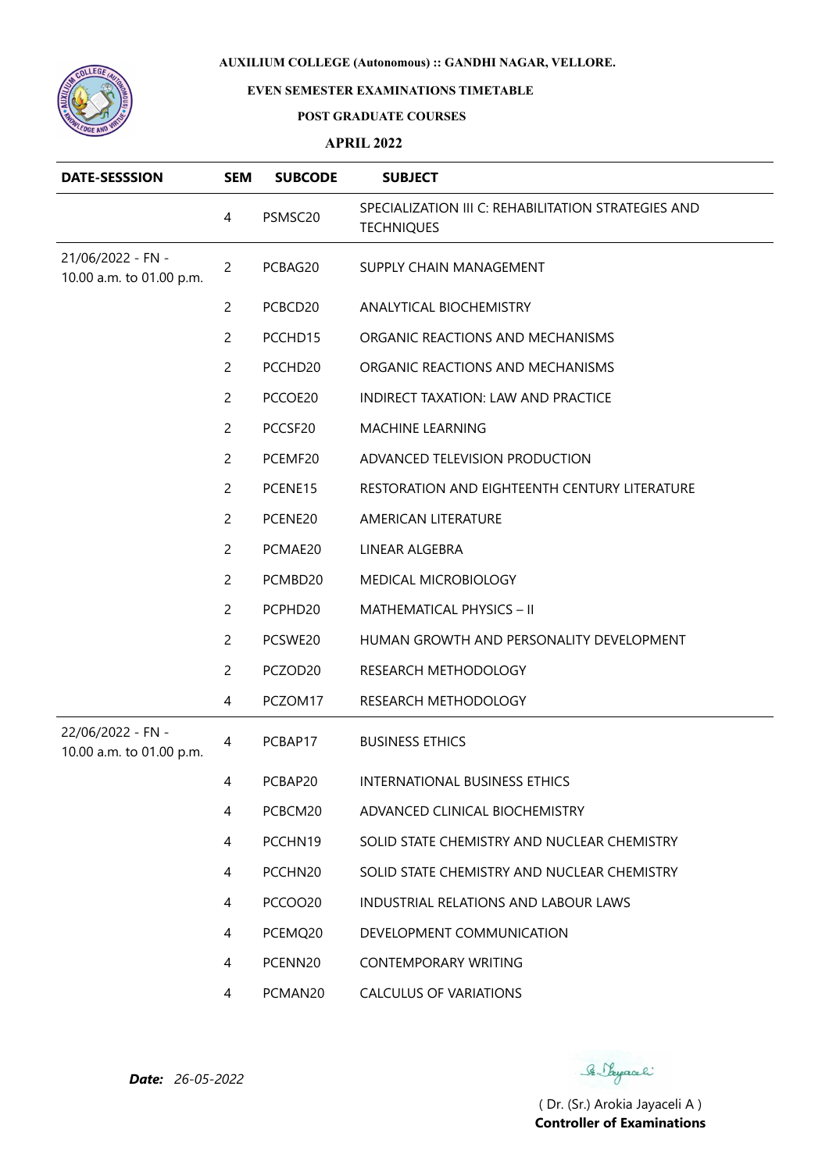

# **EVEN SEMESTER EXAMINATIONS TIMETABLE**

#### **POST GRADUATE COURSES**

### **APRIL 2022**

| <b>DATE-SESSSION</b>                          | <b>SEM</b>     | <b>SUBCODE</b> | <b>SUBJECT</b>                                                           |
|-----------------------------------------------|----------------|----------------|--------------------------------------------------------------------------|
|                                               | 4              | PSMSC20        | SPECIALIZATION III C: REHABILITATION STRATEGIES AND<br><b>TECHNIQUES</b> |
| 21/06/2022 - FN -<br>10.00 a.m. to 01.00 p.m. | $\overline{c}$ | PCBAG20        | SUPPLY CHAIN MANAGEMENT                                                  |
|                                               | $\overline{c}$ | PCBCD20        | ANALYTICAL BIOCHEMISTRY                                                  |
|                                               | 2              | PCCHD15        | ORGANIC REACTIONS AND MECHANISMS                                         |
|                                               | $\overline{c}$ | PCCHD20        | ORGANIC REACTIONS AND MECHANISMS                                         |
|                                               | 2              | PCCOE20        | <b>INDIRECT TAXATION: LAW AND PRACTICE</b>                               |
|                                               | $\overline{c}$ | PCCSF20        | MACHINE LEARNING                                                         |
|                                               | 2              | PCEMF20        | ADVANCED TELEVISION PRODUCTION                                           |
|                                               | 2              | PCENE15        | RESTORATION AND EIGHTEENTH CENTURY LITERATURE                            |
|                                               | $\overline{c}$ | PCENE20        | AMERICAN LITERATURE                                                      |
|                                               | $\overline{c}$ | PCMAE20        | LINEAR ALGEBRA                                                           |
|                                               | $\overline{c}$ | PCMBD20        | MEDICAL MICROBIOLOGY                                                     |
|                                               | $\overline{c}$ | PCPHD20        | MATHEMATICAL PHYSICS - II                                                |
|                                               | 2              | PCSWE20        | HUMAN GROWTH AND PERSONALITY DEVELOPMENT                                 |
|                                               | 2              | PCZOD20        | RESEARCH METHODOLOGY                                                     |
|                                               | 4              | PCZOM17        | RESEARCH METHODOLOGY                                                     |
| 22/06/2022 - FN -<br>10.00 a.m. to 01.00 p.m. | 4              | PCBAP17        | <b>BUSINESS ETHICS</b>                                                   |
|                                               | 4              | PCBAP20        | INTERNATIONAL BUSINESS ETHICS                                            |
|                                               | 4              | PCBCM20        | ADVANCED CLINICAL BIOCHEMISTRY                                           |
|                                               | 4              | PCCHN19        | SOLID STATE CHEMISTRY AND NUCLEAR CHEMISTRY                              |
|                                               | 4              | PCCHN20        | SOLID STATE CHEMISTRY AND NUCLEAR CHEMISTRY                              |
|                                               | 4              | PCCOO20        | <b>INDUSTRIAL RELATIONS AND LABOUR LAWS</b>                              |
|                                               | 4              | PCEMQ20        | DEVELOPMENT COMMUNICATION                                                |
|                                               | 4              | PCENN20        | <b>CONTEMPORARY WRITING</b>                                              |
|                                               | 4              | PCMAN20        | <b>CALCULUS OF VARIATIONS</b>                                            |

Se Sayaali

*Date: 26-05-2022*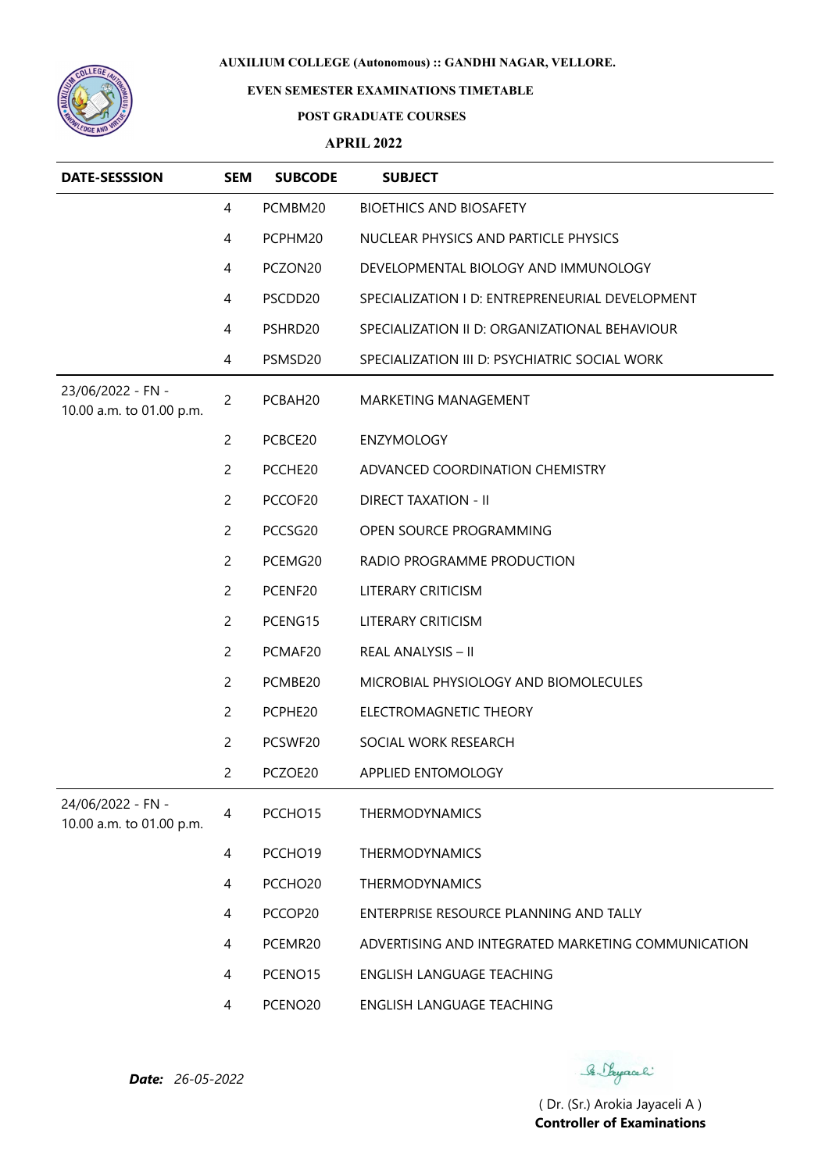

# **EVEN SEMESTER EXAMINATIONS TIMETABLE**

#### **POST GRADUATE COURSES**

### **APRIL 2022**

| <b>DATE-SESSSION</b>                          | <b>SEM</b>     | <b>SUBCODE</b>      | <b>SUBJECT</b>                                     |
|-----------------------------------------------|----------------|---------------------|----------------------------------------------------|
|                                               | 4              | PCMBM20             | <b>BIOETHICS AND BIOSAFETY</b>                     |
|                                               | 4              | PCPHM20             | NUCLEAR PHYSICS AND PARTICLE PHYSICS               |
|                                               | 4              | PCZON20             | DEVELOPMENTAL BIOLOGY AND IMMUNOLOGY               |
|                                               | 4              | PSCDD20             | SPECIALIZATION I D: ENTREPRENEURIAL DEVELOPMENT    |
|                                               | 4              | PSHRD20             | SPECIALIZATION II D: ORGANIZATIONAL BEHAVIOUR      |
|                                               | 4              | PSMSD20             | SPECIALIZATION III D: PSYCHIATRIC SOCIAL WORK      |
| 23/06/2022 - FN -<br>10.00 a.m. to 01.00 p.m. | $\overline{c}$ | PCBAH20             | MARKETING MANAGEMENT                               |
|                                               | 2              | PCBCE20             | <b>ENZYMOLOGY</b>                                  |
|                                               | $\overline{c}$ | PCCHE20             | ADVANCED COORDINATION CHEMISTRY                    |
|                                               | $\overline{c}$ | PCCOF20             | <b>DIRECT TAXATION - II</b>                        |
|                                               | $\overline{c}$ | PCCSG20             | OPEN SOURCE PROGRAMMING                            |
|                                               | $\overline{2}$ | PCEMG20             | RADIO PROGRAMME PRODUCTION                         |
|                                               | $\overline{2}$ | PCENF20             | LITERARY CRITICISM                                 |
|                                               | 2              | PCENG15             | <b>LITERARY CRITICISM</b>                          |
|                                               | $\overline{c}$ | PCMAF20             | REAL ANALYSIS - II                                 |
|                                               | $\overline{c}$ | PCMBE20             | MICROBIAL PHYSIOLOGY AND BIOMOLECULES              |
|                                               | $\overline{c}$ | PCPHE20             | ELECTROMAGNETIC THEORY                             |
|                                               | $\overline{c}$ | PCSWF20             | SOCIAL WORK RESEARCH                               |
|                                               | $\overline{c}$ | PCZOE20             | APPLIED ENTOMOLOGY                                 |
| 24/06/2022 - FN -<br>10.00 a.m. to 01.00 p.m. | 4              | PCCHO15             | THERMODYNAMICS                                     |
|                                               | 4              | PCCHO19             | THERMODYNAMICS                                     |
|                                               | 4              | PCCHO <sub>20</sub> | <b>THERMODYNAMICS</b>                              |
|                                               | 4              | PCCOP20             | ENTERPRISE RESOURCE PLANNING AND TALLY             |
|                                               | 4              | PCEMR20             | ADVERTISING AND INTEGRATED MARKETING COMMUNICATION |
|                                               | 4              | PCENO15             | ENGLISH LANGUAGE TEACHING                          |
|                                               | 4              | PCENO20             | ENGLISH LANGUAGE TEACHING                          |

Se Sayaali

*Date: 26-05-2022*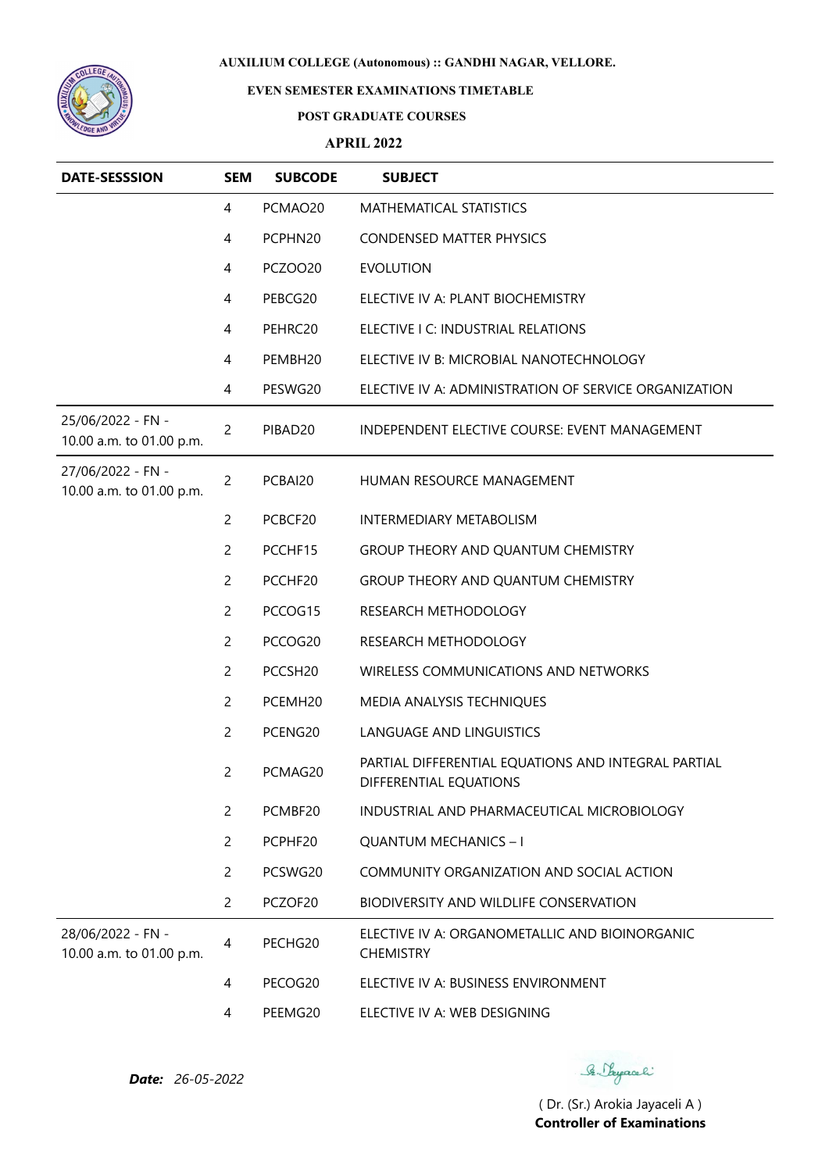

# **EVEN SEMESTER EXAMINATIONS TIMETABLE**

#### **POST GRADUATE COURSES**

### **APRIL 2022**

| <b>DATE-SESSSION</b>                          | <b>SEM</b>     | <b>SUBCODE</b> | <b>SUBJECT</b>                                                                |
|-----------------------------------------------|----------------|----------------|-------------------------------------------------------------------------------|
|                                               | 4              | PCMAO20        | MATHEMATICAL STATISTICS                                                       |
|                                               | 4              | PCPHN20        | <b>CONDENSED MATTER PHYSICS</b>                                               |
|                                               | 4              | <b>PCZOO20</b> | <b>EVOLUTION</b>                                                              |
|                                               | 4              | PEBCG20        | ELECTIVE IV A: PLANT BIOCHEMISTRY                                             |
|                                               | 4              | PEHRC20        | ELECTIVE I C: INDUSTRIAL RELATIONS                                            |
|                                               | 4              | PEMBH20        | ELECTIVE IV B: MICROBIAL NANOTECHNOLOGY                                       |
|                                               | 4              | PESWG20        | ELECTIVE IV A: ADMINISTRATION OF SERVICE ORGANIZATION                         |
| 25/06/2022 - FN -<br>10.00 a.m. to 01.00 p.m. | $\overline{c}$ | PIBAD20        | INDEPENDENT ELECTIVE COURSE: EVENT MANAGEMENT                                 |
| 27/06/2022 - FN -<br>10.00 a.m. to 01.00 p.m. | $\overline{c}$ | PCBAI20        | HUMAN RESOURCE MANAGEMENT                                                     |
|                                               | $\overline{c}$ | PCBCF20        | <b>INTERMEDIARY METABOLISM</b>                                                |
|                                               | $\overline{c}$ | PCCHF15        | <b>GROUP THEORY AND QUANTUM CHEMISTRY</b>                                     |
|                                               | $\overline{c}$ | PCCHF20        | GROUP THEORY AND QUANTUM CHEMISTRY                                            |
|                                               | $\overline{c}$ | PCCOG15        | RESEARCH METHODOLOGY                                                          |
|                                               | 2              | PCCOG20        | RESEARCH METHODOLOGY                                                          |
|                                               | 2              | PCCSH20        | WIRELESS COMMUNICATIONS AND NETWORKS                                          |
|                                               | $\overline{c}$ | PCEMH20        | MEDIA ANALYSIS TECHNIQUES                                                     |
|                                               | $\overline{c}$ | PCENG20        | <b>LANGUAGE AND LINGUISTICS</b>                                               |
|                                               | $\overline{c}$ | PCMAG20        | PARTIAL DIFFERENTIAL EQUATIONS AND INTEGRAL PARTIAL<br>DIFFERENTIAL EQUATIONS |
|                                               | $\overline{2}$ | PCMBF20        | INDUSTRIAL AND PHARMACEUTICAL MICROBIOLOGY                                    |
|                                               | $\overline{2}$ | PCPHF20        | <b>QUANTUM MECHANICS - I</b>                                                  |
|                                               | $\overline{c}$ | PCSWG20        | COMMUNITY ORGANIZATION AND SOCIAL ACTION                                      |
|                                               | $\overline{2}$ | PCZOF20        | BIODIVERSITY AND WILDLIFE CONSERVATION                                        |
| 28/06/2022 - FN -<br>10.00 a.m. to 01.00 p.m. | 4              | PECHG20        | ELECTIVE IV A: ORGANOMETALLIC AND BIOINORGANIC<br><b>CHEMISTRY</b>            |
|                                               | 4              | PECOG20        | ELECTIVE IV A: BUSINESS ENVIRONMENT                                           |
|                                               | 4              | PEEMG20        | ELECTIVE IV A: WEB DESIGNING                                                  |

*Date: 26-05-2022*

Se Sayaali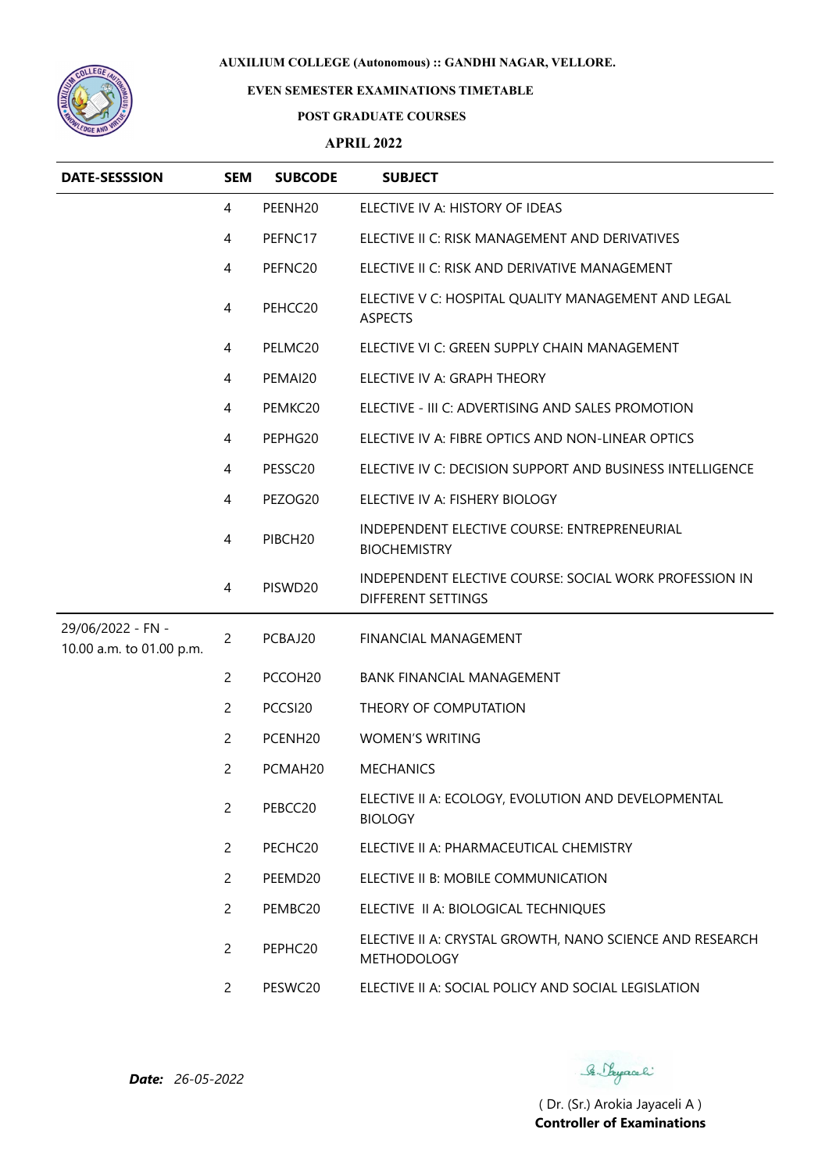

## **EVEN SEMESTER EXAMINATIONS TIMETABLE**

#### **POST GRADUATE COURSES**

## **APRIL 2022**

| <b>DATE-SESSSION</b>                          | <b>SEM</b>     | <b>SUBCODE</b>      | <b>SUBJECT</b>                                                                 |
|-----------------------------------------------|----------------|---------------------|--------------------------------------------------------------------------------|
|                                               | 4              | PEENH <sub>20</sub> | ELECTIVE IV A: HISTORY OF IDEAS                                                |
|                                               | 4              | PEFNC17             | ELECTIVE II C: RISK MANAGEMENT AND DERIVATIVES                                 |
|                                               | 4              | PEFNC20             | ELECTIVE II C: RISK AND DERIVATIVE MANAGEMENT                                  |
|                                               | 4              | PEHCC20             | ELECTIVE V C: HOSPITAL QUALITY MANAGEMENT AND LEGAL<br><b>ASPECTS</b>          |
|                                               | 4              | PELMC20             | ELECTIVE VI C: GREEN SUPPLY CHAIN MANAGEMENT                                   |
|                                               | $\overline{4}$ | PEMAI20             | ELECTIVE IV A: GRAPH THEORY                                                    |
|                                               | 4              | PEMKC20             | ELECTIVE - III C: ADVERTISING AND SALES PROMOTION                              |
|                                               | 4              | PEPHG20             | ELECTIVE IV A: FIBRE OPTICS AND NON-LINEAR OPTICS                              |
|                                               | 4              | PESSC20             | ELECTIVE IV C: DECISION SUPPORT AND BUSINESS INTELLIGENCE                      |
|                                               | 4              | PEZOG20             | ELECTIVE IV A: FISHERY BIOLOGY                                                 |
|                                               | 4              | PIBCH <sub>20</sub> | INDEPENDENT ELECTIVE COURSE: ENTREPRENEURIAL<br><b>BIOCHEMISTRY</b>            |
|                                               | 4              | PISWD20             | INDEPENDENT ELECTIVE COURSE: SOCIAL WORK PROFESSION IN<br>DIFFERENT SETTINGS   |
| 29/06/2022 - FN -<br>10.00 a.m. to 01.00 p.m. | $\overline{2}$ | PCBAJ20             | FINANCIAL MANAGEMENT                                                           |
|                                               | $\overline{2}$ | PCCOH <sub>20</sub> | <b>BANK FINANCIAL MANAGEMENT</b>                                               |
|                                               | 2              | PCCSI20             | THEORY OF COMPUTATION                                                          |
|                                               | 2              | PCENH <sub>20</sub> | <b>WOMEN'S WRITING</b>                                                         |
|                                               | 2              | PCMAH <sub>20</sub> | <b>MECHANICS</b>                                                               |
|                                               | $\overline{2}$ | PEBCC20             | ELECTIVE II A: ECOLOGY, EVOLUTION AND DEVELOPMENTAL<br><b>BIOLOGY</b>          |
|                                               | $\overline{2}$ | PECHC20             | ELECTIVE II A: PHARMACEUTICAL CHEMISTRY                                        |
|                                               | $\overline{2}$ | PEEMD20             | ELECTIVE II B: MOBILE COMMUNICATION                                            |
|                                               | $\overline{2}$ | PEMBC20             | ELECTIVE II A: BIOLOGICAL TECHNIQUES                                           |
|                                               | $\overline{2}$ | PEPHC20             | ELECTIVE II A: CRYSTAL GROWTH, NANO SCIENCE AND RESEARCH<br><b>METHODOLOGY</b> |
|                                               | $\mathbf{2}$   | PESWC20             | ELECTIVE II A: SOCIAL POLICY AND SOCIAL LEGISLATION                            |

Se Sayaali

*Date: 26-05-2022*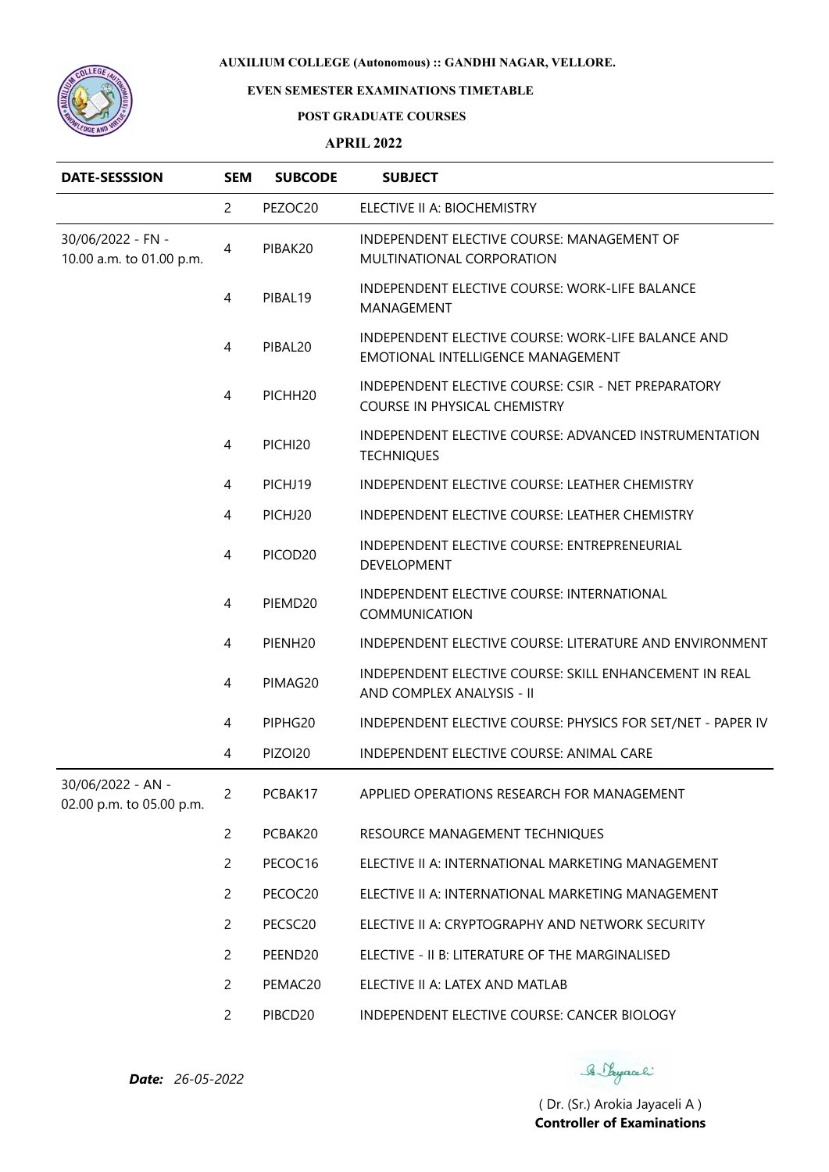

## **EVEN SEMESTER EXAMINATIONS TIMETABLE**

#### **POST GRADUATE COURSES**

#### **APRIL 2022**

| <b>DATE-SESSSION</b>                          | <b>SEM</b>     | <b>SUBCODE</b>      | <b>SUBJECT</b>                                                                          |
|-----------------------------------------------|----------------|---------------------|-----------------------------------------------------------------------------------------|
|                                               | 2              | PEZOC20             | ELECTIVE II A: BIOCHEMISTRY                                                             |
| 30/06/2022 - FN -<br>10.00 a.m. to 01.00 p.m. | 4              | PIBAK20             | INDEPENDENT ELECTIVE COURSE: MANAGEMENT OF<br>MULTINATIONAL CORPORATION                 |
|                                               | 4              | PIBAL19             | INDEPENDENT ELECTIVE COURSE: WORK-LIFE BALANCE<br>MANAGEMENT                            |
|                                               | 4              | PIBAL20             | INDEPENDENT ELECTIVE COURSE: WORK-LIFE BALANCE AND<br>EMOTIONAL INTELLIGENCE MANAGEMENT |
|                                               | 4              | PICHH20             | INDEPENDENT ELECTIVE COURSE: CSIR - NET PREPARATORY<br>COURSE IN PHYSICAL CHEMISTRY     |
|                                               | 4              | PICHI20             | INDEPENDENT ELECTIVE COURSE: ADVANCED INSTRUMENTATION<br><b>TECHNIQUES</b>              |
|                                               | 4              | PICHJ19             | <b>INDEPENDENT ELECTIVE COURSE: LEATHER CHEMISTRY</b>                                   |
|                                               | 4              | PICHJ20             | INDEPENDENT ELECTIVE COURSE: LEATHER CHEMISTRY                                          |
|                                               | 4              | PICOD <sub>20</sub> | INDEPENDENT ELECTIVE COURSE: ENTREPRENEURIAL<br><b>DEVELOPMENT</b>                      |
|                                               | 4              | PIEMD20             | INDEPENDENT ELECTIVE COURSE: INTERNATIONAL<br><b>COMMUNICATION</b>                      |
|                                               | 4              | PIENH20             | INDEPENDENT ELECTIVE COURSE: LITERATURE AND ENVIRONMENT                                 |
|                                               | 4              | PIMAG20             | INDEPENDENT ELECTIVE COURSE: SKILL ENHANCEMENT IN REAL<br>AND COMPLEX ANALYSIS - II     |
|                                               | 4              | PIPHG20             | INDEPENDENT ELECTIVE COURSE: PHYSICS FOR SET/NET - PAPER IV                             |
|                                               | 4              | PIZOI20             | INDEPENDENT ELECTIVE COURSE: ANIMAL CARE                                                |
| 30/06/2022 - AN -<br>02.00 p.m. to 05.00 p.m. | $\overline{2}$ | PCBAK17             | APPLIED OPERATIONS RESEARCH FOR MANAGEMENT                                              |
|                                               | $\overline{2}$ | PCBAK20             | RESOURCE MANAGEMENT TECHNIQUES                                                          |
|                                               | $\overline{2}$ | PECOC16             | ELECTIVE II A: INTERNATIONAL MARKETING MANAGEMENT                                       |
|                                               | $\overline{c}$ | PECOC20             | ELECTIVE II A: INTERNATIONAL MARKETING MANAGEMENT                                       |
|                                               | $\overline{2}$ | PECSC20             | ELECTIVE II A: CRYPTOGRAPHY AND NETWORK SECURITY                                        |
|                                               | $\overline{2}$ | PEEND20             | ELECTIVE - II B: LITERATURE OF THE MARGINALISED                                         |
|                                               | $\overline{2}$ | PEMAC20             | ELECTIVE II A: LATEX AND MATLAB                                                         |
|                                               | $\overline{c}$ | PIBCD20             | INDEPENDENT ELECTIVE COURSE: CANCER BIOLOGY                                             |

*Date: 26-05-2022*

Se Vayaceli